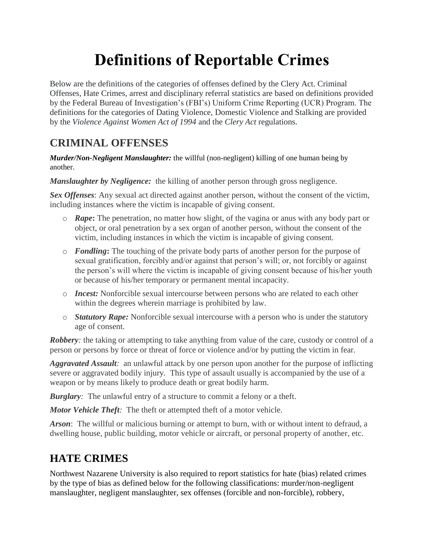# **Definitions of Reportable Crimes**

Below are the definitions of the categories of offenses defined by the Clery Act. Criminal Offenses, Hate Crimes, arrest and disciplinary referral statistics are based on definitions provided by the Federal Bureau of Investigation's (FBI's) Uniform Crime Reporting (UCR) Program. The definitions for the categories of Dating Violence, Domestic Violence and Stalking are provided by the *Violence Against Women Act of 1994* and the *Clery Act* regulations.

#### **CRIMINAL OFFENSES**

*Murder/Non-Negligent Manslaughter:* the willful (non-negligent) killing of one human being by another.

*Manslaughter by Negligence:* the killing of another person through gross negligence.

*Sex Offenses*: Any sexual act directed against another person, without the consent of the victim, including instances where the victim is incapable of giving consent.

- o *Rape***:** The penetration, no matter how slight, of the vagina or anus with any body part or object, or oral penetration by a sex organ of another person, without the consent of the victim, including instances in which the victim is incapable of giving consent.
- o *Fondling***:** The touching of the private body parts of another person for the purpose of sexual gratification, forcibly and/or against that person's will; or, not forcibly or against the person's will where the victim is incapable of giving consent because of his/her youth or because of his/her temporary or permanent mental incapacity.
- o *Incest:* Nonforcible sexual intercourse between persons who are related to each other within the degrees wherein marriage is prohibited by law.
- o *Statutory Rape:* Nonforcible sexual intercourse with a person who is under the statutory age of consent.

*Robbery*: the taking or attempting to take anything from value of the care, custody or control of a person or persons by force or threat of force or violence and/or by putting the victim in fear.

*Aggravated Assault:* an unlawful attack by one person upon another for the purpose of inflicting severe or aggravated bodily injury. This type of assault usually is accompanied by the use of a weapon or by means likely to produce death or great bodily harm.

*Burglary:* The unlawful entry of a structure to commit a felony or a theft.

*Motor Vehicle Theft:* The theft or attempted theft of a motor vehicle.

*Arson*: The willful or malicious burning or attempt to burn, with or without intent to defraud, a dwelling house, public building, motor vehicle or aircraft, or personal property of another, etc.

### **HATE CRIMES**

Northwest Nazarene University is also required to report statistics for hate (bias) related crimes by the type of bias as defined below for the following classifications: murder/non-negligent manslaughter, negligent manslaughter, sex offenses (forcible and non-forcible), robbery,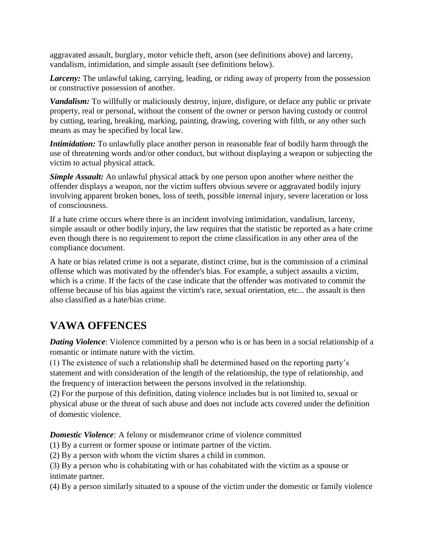aggravated assault, burglary, motor vehicle theft, arson (see definitions above) and larceny, vandalism, intimidation, and simple assault (see definitions below).

*Larceny:* The unlawful taking, carrying, leading, or riding away of property from the possession or constructive possession of another.

*Vandalism:* To willfully or maliciously destroy, injure, disfigure, or deface any public or private property, real or personal, without the consent of the owner or person having custody or control by cutting, tearing, breaking, marking, painting, drawing, covering with filth, or any other such means as may be specified by local law.

*Intimidation:* To unlawfully place another person in reasonable fear of bodily harm through the use of threatening words and/or other conduct, but without displaying a weapon or subjecting the victim to actual physical attack.

*Simple Assault:* An unlawful physical attack by one person upon another where neither the offender displays a weapon, nor the victim suffers obvious severe or aggravated bodily injury involving apparent broken bones, loss of teeth, possible internal injury, severe laceration or loss of consciousness.

If a hate crime occurs where there is an incident involving intimidation, vandalism, larceny, simple assault or other bodily injury, the law requires that the statistic be reported as a hate crime even though there is no requirement to report the crime classification in any other area of the compliance document.

A hate or bias related crime is not a separate, distinct crime, but is the commission of a criminal offense which was motivated by the offender's bias. For example, a subject assaults a victim, which is a crime. If the facts of the case indicate that the offender was motivated to commit the offense because of his bias against the victim's race, sexual orientation, etc... the assault is then also classified as a hate/bias crime.

### **VAWA OFFENCES**

*Dating Violence:* Violence committed by a person who is or has been in a social relationship of a romantic or intimate nature with the victim.

(1) The existence of such a relationship shall be determined based on the reporting party's statement and with consideration of the length of the relationship, the type of relationship, and the frequency of interaction between the persons involved in the relationship.

(2) For the purpose of this definition, dating violence includes but is not limited to, sexual or physical abuse or the threat of such abuse and does not include acts covered under the definition of domestic violence.

*Domestic Violence:* A felony or misdemeanor crime of violence committed

(1) By a current or former spouse or intimate partner of the victim.

(2) By a person with whom the victim shares a child in common.

(3) By a person who is cohabitating with or has cohabitated with the victim as a spouse or intimate partner.

(4) By a person similarly situated to a spouse of the victim under the domestic or family violence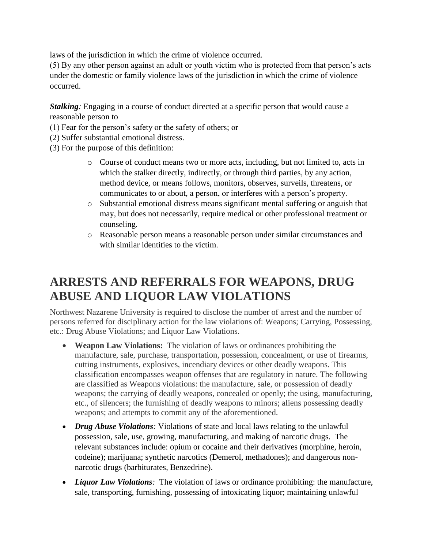laws of the jurisdiction in which the crime of violence occurred.

(5) By any other person against an adult or youth victim who is protected from that person's acts under the domestic or family violence laws of the jurisdiction in which the crime of violence occurred.

*Stalking:* Engaging in a course of conduct directed at a specific person that would cause a reasonable person to

- (1) Fear for the person's safety or the safety of others; or
- (2) Suffer substantial emotional distress.
- (3) For the purpose of this definition:
	- o Course of conduct means two or more acts, including, but not limited to, acts in which the stalker directly, indirectly, or through third parties, by any action, method device, or means follows, monitors, observes, surveils, threatens, or communicates to or about, a person, or interferes with a person's property.
	- o Substantial emotional distress means significant mental suffering or anguish that may, but does not necessarily, require medical or other professional treatment or counseling.
	- o Reasonable person means a reasonable person under similar circumstances and with similar identities to the victim.

## **ARRESTS AND REFERRALS FOR WEAPONS, DRUG ABUSE AND LIQUOR LAW VIOLATIONS**

Northwest Nazarene University is required to disclose the number of arrest and the number of persons referred for disciplinary action for the law violations of: Weapons; Carrying, Possessing, etc.: Drug Abuse Violations; and Liquor Law Violations.

- **Weapon Law Violations:** The violation of laws or ordinances prohibiting the manufacture, sale, purchase, transportation, possession, concealment, or use of firearms, cutting instruments, explosives, incendiary devices or other deadly weapons. This classification encompasses weapon offenses that are regulatory in nature. The following are classified as Weapons violations: the manufacture, sale, or possession of deadly weapons; the carrying of deadly weapons, concealed or openly; the using, manufacturing, etc., of silencers; the furnishing of deadly weapons to minors; aliens possessing deadly weapons; and attempts to commit any of the aforementioned.
- *Drug Abuse Violations*: Violations of state and local laws relating to the unlawful possession, sale, use, growing, manufacturing, and making of narcotic drugs. The relevant substances include: opium or cocaine and their derivatives (morphine, heroin, codeine); marijuana; synthetic narcotics (Demerol, methadones); and dangerous nonnarcotic drugs (barbiturates, Benzedrine).
- *Liquor Law Violations*: The violation of laws or ordinance prohibiting: the manufacture, sale, transporting, furnishing, possessing of intoxicating liquor; maintaining unlawful